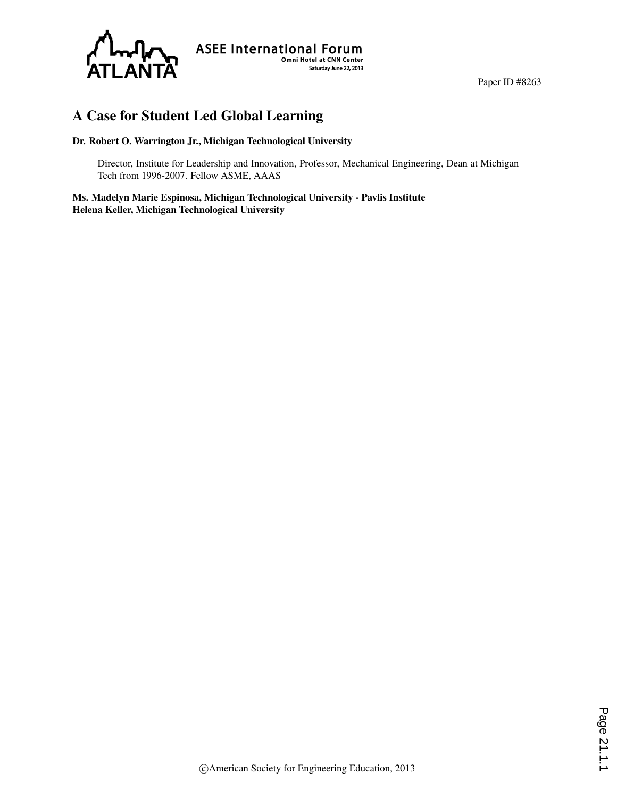

# A Case for Student Led Global Learning

#### Dr. Robert O. Warrington Jr., Michigan Technological University

Director, Institute for Leadership and Innovation, Professor, Mechanical Engineering, Dean at Michigan Tech from 1996-2007. Fellow ASME, AAAS

Ms. Madelyn Marie Espinosa, Michigan Technological University - Pavlis Institute Helena Keller, Michigan Technological University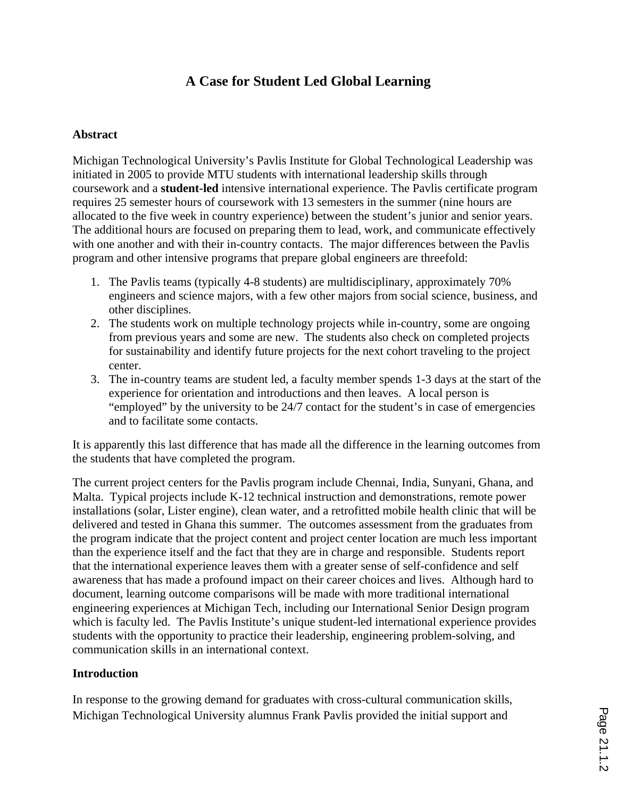# **A Case for Student Led Global Learning**

#### **Abstract**

Michigan Technological University's Pavlis Institute for Global Technological Leadership was initiated in 2005 to provide MTU students with international leadership skills through coursework and a **student-led** intensive international experience. The Pavlis certificate program requires 25 semester hours of coursework with 13 semesters in the summer (nine hours are allocated to the five week in country experience) between the student's junior and senior years. The additional hours are focused on preparing them to lead, work, and communicate effectively with one another and with their in-country contacts. The major differences between the Pavlis program and other intensive programs that prepare global engineers are threefold:

- 1. The Pavlis teams (typically 4-8 students) are multidisciplinary, approximately 70% engineers and science majors, with a few other majors from social science, business, and other disciplines.
- 2. The students work on multiple technology projects while in-country, some are ongoing from previous years and some are new. The students also check on completed projects for sustainability and identify future projects for the next cohort traveling to the project center.
- 3. The in-country teams are student led, a faculty member spends 1-3 days at the start of the experience for orientation and introductions and then leaves. A local person is "employed" by the university to be 24/7 contact for the student's in case of emergencies and to facilitate some contacts.

It is apparently this last difference that has made all the difference in the learning outcomes from the students that have completed the program.

The current project centers for the Pavlis program include Chennai, India, Sunyani, Ghana, and Malta. Typical projects include K-12 technical instruction and demonstrations, remote power installations (solar, Lister engine), clean water, and a retrofitted mobile health clinic that will be delivered and tested in Ghana this summer. The outcomes assessment from the graduates from the program indicate that the project content and project center location are much less important than the experience itself and the fact that they are in charge and responsible. Students report that the international experience leaves them with a greater sense of self-confidence and self awareness that has made a profound impact on their career choices and lives. Although hard to document, learning outcome comparisons will be made with more traditional international engineering experiences at Michigan Tech, including our International Senior Design program which is faculty led. The Pavlis Institute's unique student-led international experience provides students with the opportunity to practice their leadership, engineering problem-solving, and communication skills in an international context.

### **Introduction**

In response to the growing demand for graduates with cross-cultural communication skills, Michigan Technological University alumnus Frank Pavlis provided the initial support and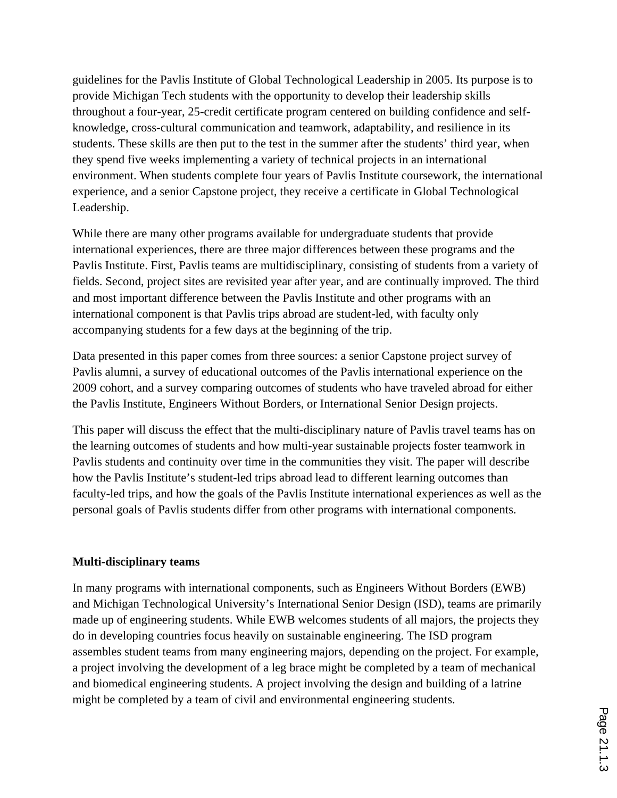guidelines for the Pavlis Institute of Global Technological Leadership in 2005. Its purpose is to provide Michigan Tech students with the opportunity to develop their leadership skills throughout a four-year, 25-credit certificate program centered on building confidence and selfknowledge, cross-cultural communication and teamwork, adaptability, and resilience in its students. These skills are then put to the test in the summer after the students' third year, when they spend five weeks implementing a variety of technical projects in an international environment. When students complete four years of Pavlis Institute coursework, the international experience, and a senior Capstone project, they receive a certificate in Global Technological Leadership.

While there are many other programs available for undergraduate students that provide international experiences, there are three major differences between these programs and the Pavlis Institute. First, Pavlis teams are multidisciplinary, consisting of students from a variety of fields. Second, project sites are revisited year after year, and are continually improved. The third and most important difference between the Pavlis Institute and other programs with an international component is that Pavlis trips abroad are student-led, with faculty only accompanying students for a few days at the beginning of the trip.

Data presented in this paper comes from three sources: a senior Capstone project survey of Pavlis alumni, a survey of educational outcomes of the Pavlis international experience on the 2009 cohort, and a survey comparing outcomes of students who have traveled abroad for either the Pavlis Institute, Engineers Without Borders, or International Senior Design projects.

This paper will discuss the effect that the multi-disciplinary nature of Pavlis travel teams has on the learning outcomes of students and how multi-year sustainable projects foster teamwork in Pavlis students and continuity over time in the communities they visit. The paper will describe how the Pavlis Institute's student-led trips abroad lead to different learning outcomes than faculty-led trips, and how the goals of the Pavlis Institute international experiences as well as the personal goals of Pavlis students differ from other programs with international components.

#### **Multi-disciplinary teams**

In many programs with international components, such as Engineers Without Borders (EWB) and Michigan Technological University's International Senior Design (ISD), teams are primarily made up of engineering students. While EWB welcomes students of all majors, the projects they do in developing countries focus heavily on sustainable engineering. The ISD program assembles student teams from many engineering majors, depending on the project. For example, a project involving the development of a leg brace might be completed by a team of mechanical and biomedical engineering students. A project involving the design and building of a latrine might be completed by a team of civil and environmental engineering students.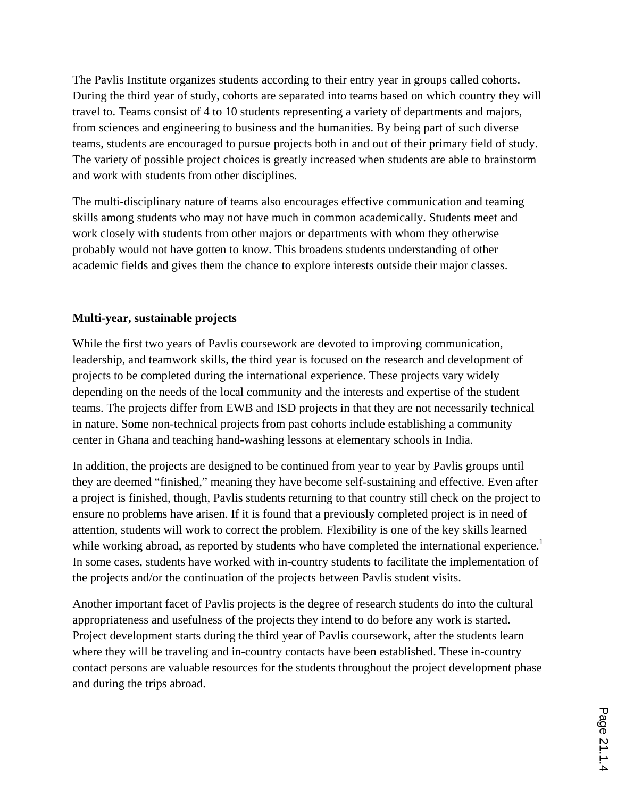The Pavlis Institute organizes students according to their entry year in groups called cohorts. During the third year of study, cohorts are separated into teams based on which country they will travel to. Teams consist of 4 to 10 students representing a variety of departments and majors, from sciences and engineering to business and the humanities. By being part of such diverse teams, students are encouraged to pursue projects both in and out of their primary field of study. The variety of possible project choices is greatly increased when students are able to brainstorm and work with students from other disciplines.

The multi-disciplinary nature of teams also encourages effective communication and teaming skills among students who may not have much in common academically. Students meet and work closely with students from other majors or departments with whom they otherwise probably would not have gotten to know. This broadens students understanding of other academic fields and gives them the chance to explore interests outside their major classes.

### **Multi-year, sustainable projects**

While the first two years of Pavlis coursework are devoted to improving communication, leadership, and teamwork skills, the third year is focused on the research and development of projects to be completed during the international experience. These projects vary widely depending on the needs of the local community and the interests and expertise of the student teams. The projects differ from EWB and ISD projects in that they are not necessarily technical in nature. Some non-technical projects from past cohorts include establishing a community center in Ghana and teaching hand-washing lessons at elementary schools in India.

In addition, the projects are designed to be continued from year to year by Pavlis groups until they are deemed "finished," meaning they have become self-sustaining and effective. Even after a project is finished, though, Pavlis students returning to that country still check on the project to ensure no problems have arisen. If it is found that a previously completed project is in need of attention, students will work to correct the problem. Flexibility is one of the key skills learned while working abroad, as reported by students who have completed the international experience.<sup>1</sup> In some cases, students have worked with in-country students to facilitate the implementation of the projects and/or the continuation of the projects between Pavlis student visits.

Another important facet of Pavlis projects is the degree of research students do into the cultural appropriateness and usefulness of the projects they intend to do before any work is started. Project development starts during the third year of Pavlis coursework, after the students learn where they will be traveling and in-country contacts have been established. These in-country contact persons are valuable resources for the students throughout the project development phase and during the trips abroad.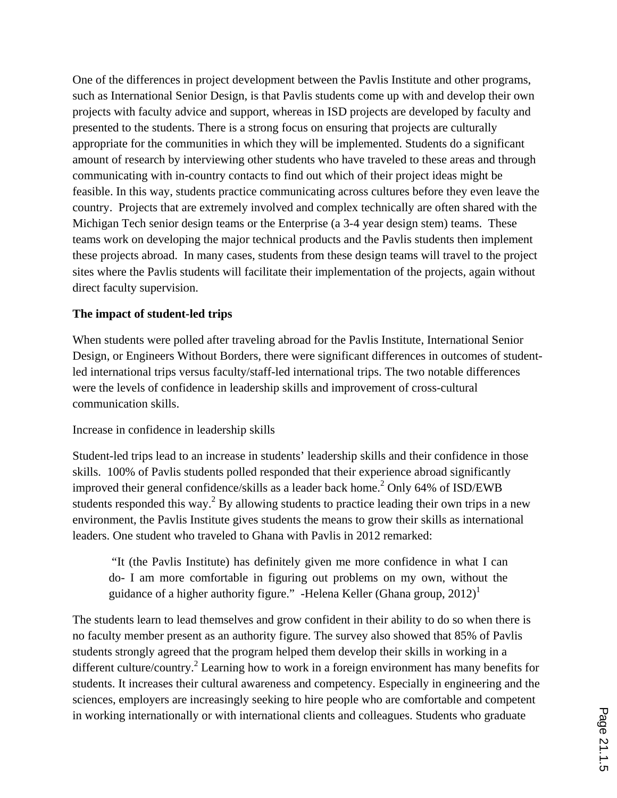One of the differences in project development between the Pavlis Institute and other programs, such as International Senior Design, is that Pavlis students come up with and develop their own projects with faculty advice and support, whereas in ISD projects are developed by faculty and presented to the students. There is a strong focus on ensuring that projects are culturally appropriate for the communities in which they will be implemented. Students do a significant amount of research by interviewing other students who have traveled to these areas and through communicating with in-country contacts to find out which of their project ideas might be feasible. In this way, students practice communicating across cultures before they even leave the country. Projects that are extremely involved and complex technically are often shared with the Michigan Tech senior design teams or the Enterprise (a 3-4 year design stem) teams. These teams work on developing the major technical products and the Pavlis students then implement these projects abroad. In many cases, students from these design teams will travel to the project sites where the Pavlis students will facilitate their implementation of the projects, again without direct faculty supervision.

#### **The impact of student-led trips**

When students were polled after traveling abroad for the Pavlis Institute, International Senior Design, or Engineers Without Borders, there were significant differences in outcomes of studentled international trips versus faculty/staff-led international trips. The two notable differences were the levels of confidence in leadership skills and improvement of cross-cultural communication skills.

#### Increase in confidence in leadership skills

Student-led trips lead to an increase in students' leadership skills and their confidence in those skills. 100% of Pavlis students polled responded that their experience abroad significantly improved their general confidence/skills as a leader back home.<sup>2</sup> Only 64% of ISD/EWB students responded this way.<sup>2</sup> By allowing students to practice leading their own trips in a new environment, the Pavlis Institute gives students the means to grow their skills as international leaders. One student who traveled to Ghana with Pavlis in 2012 remarked:

 "It (the Pavlis Institute) has definitely given me more confidence in what I can do- I am more comfortable in figuring out problems on my own, without the guidance of a higher authority figure." -Helena Keller (Ghana group,  $2012$ )<sup>1</sup>

The students learn to lead themselves and grow confident in their ability to do so when there is no faculty member present as an authority figure. The survey also showed that 85% of Pavlis students strongly agreed that the program helped them develop their skills in working in a different culture/country.<sup>2</sup> Learning how to work in a foreign environment has many benefits for students. It increases their cultural awareness and competency. Especially in engineering and the sciences, employers are increasingly seeking to hire people who are comfortable and competent in working internationally or with international clients and colleagues. Students who graduate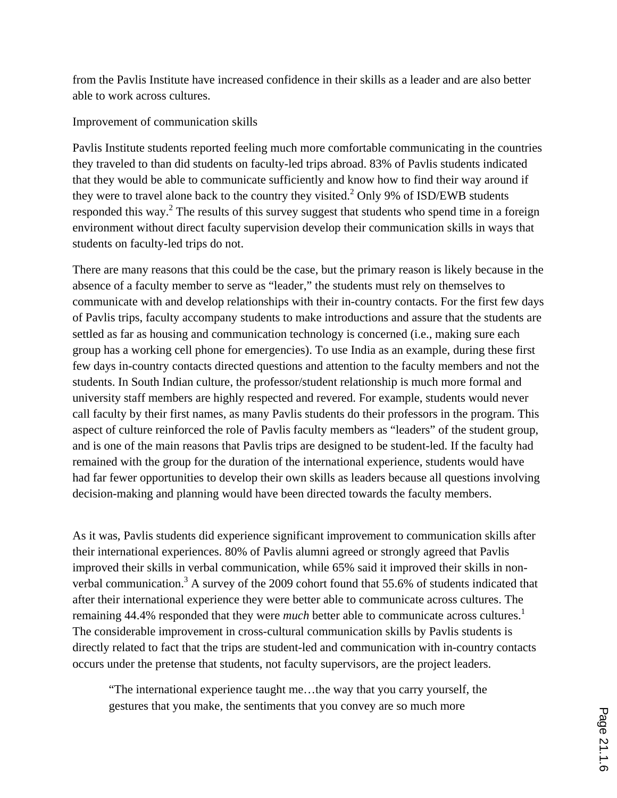from the Pavlis Institute have increased confidence in their skills as a leader and are also better able to work across cultures.

Improvement of communication skills

Pavlis Institute students reported feeling much more comfortable communicating in the countries they traveled to than did students on faculty-led trips abroad. 83% of Pavlis students indicated that they would be able to communicate sufficiently and know how to find their way around if they were to travel alone back to the country they visited.<sup>2</sup> Only 9% of ISD/EWB students responded this way.<sup>2</sup> The results of this survey suggest that students who spend time in a foreign environment without direct faculty supervision develop their communication skills in ways that students on faculty-led trips do not.

There are many reasons that this could be the case, but the primary reason is likely because in the absence of a faculty member to serve as "leader," the students must rely on themselves to communicate with and develop relationships with their in-country contacts. For the first few days of Pavlis trips, faculty accompany students to make introductions and assure that the students are settled as far as housing and communication technology is concerned (i.e., making sure each group has a working cell phone for emergencies). To use India as an example, during these first few days in-country contacts directed questions and attention to the faculty members and not the students. In South Indian culture, the professor/student relationship is much more formal and university staff members are highly respected and revered. For example, students would never call faculty by their first names, as many Pavlis students do their professors in the program. This aspect of culture reinforced the role of Pavlis faculty members as "leaders" of the student group, and is one of the main reasons that Pavlis trips are designed to be student-led. If the faculty had remained with the group for the duration of the international experience, students would have had far fewer opportunities to develop their own skills as leaders because all questions involving decision-making and planning would have been directed towards the faculty members.

As it was, Pavlis students did experience significant improvement to communication skills after their international experiences. 80% of Pavlis alumni agreed or strongly agreed that Pavlis improved their skills in verbal communication, while 65% said it improved their skills in nonverbal communication.<sup>3</sup> A survey of the 2009 cohort found that 55.6% of students indicated that after their international experience they were better able to communicate across cultures. The remaining 44.4% responded that they were *much* better able to communicate across cultures.<sup>1</sup> The considerable improvement in cross-cultural communication skills by Pavlis students is directly related to fact that the trips are student-led and communication with in-country contacts occurs under the pretense that students, not faculty supervisors, are the project leaders.

"The international experience taught me…the way that you carry yourself, the gestures that you make, the sentiments that you convey are so much more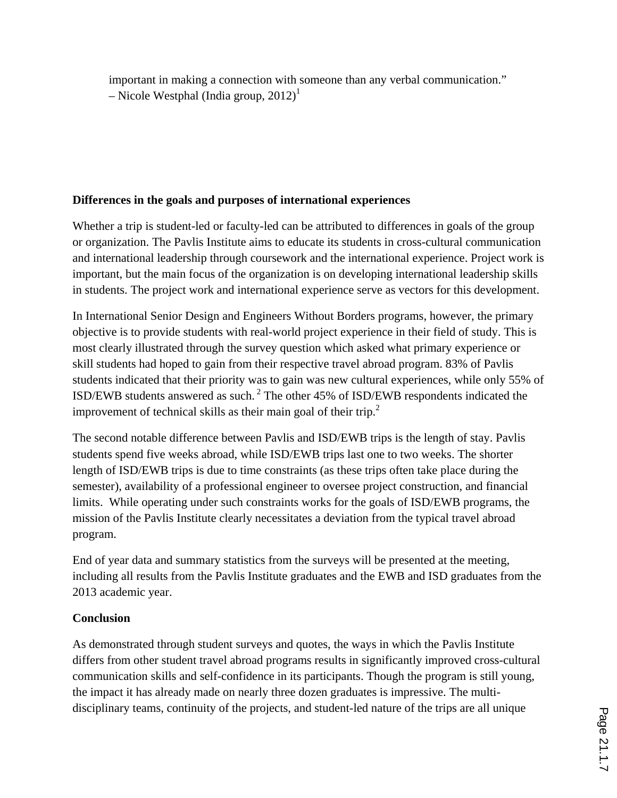important in making a connection with someone than any verbal communication." – Nicole Westphal (India group,  $2012$ )<sup>1</sup>

# **Differences in the goals and purposes of international experiences**

Whether a trip is student-led or faculty-led can be attributed to differences in goals of the group or organization. The Pavlis Institute aims to educate its students in cross-cultural communication and international leadership through coursework and the international experience. Project work is important, but the main focus of the organization is on developing international leadership skills in students. The project work and international experience serve as vectors for this development.

In International Senior Design and Engineers Without Borders programs, however, the primary objective is to provide students with real-world project experience in their field of study. This is most clearly illustrated through the survey question which asked what primary experience or skill students had hoped to gain from their respective travel abroad program. 83% of Pavlis students indicated that their priority was to gain was new cultural experiences, while only 55% of ISD/EWB students answered as such. 2 The other 45% of ISD/EWB respondents indicated the improvement of technical skills as their main goal of their trip.<sup>2</sup>

The second notable difference between Pavlis and ISD/EWB trips is the length of stay. Pavlis students spend five weeks abroad, while ISD/EWB trips last one to two weeks. The shorter length of ISD/EWB trips is due to time constraints (as these trips often take place during the semester), availability of a professional engineer to oversee project construction, and financial limits. While operating under such constraints works for the goals of ISD/EWB programs, the mission of the Pavlis Institute clearly necessitates a deviation from the typical travel abroad program.

End of year data and summary statistics from the surveys will be presented at the meeting, including all results from the Pavlis Institute graduates and the EWB and ISD graduates from the 2013 academic year.

# **Conclusion**

As demonstrated through student surveys and quotes, the ways in which the Pavlis Institute differs from other student travel abroad programs results in significantly improved cross-cultural communication skills and self-confidence in its participants. Though the program is still young, the impact it has already made on nearly three dozen graduates is impressive. The multidisciplinary teams, continuity of the projects, and student-led nature of the trips are all unique